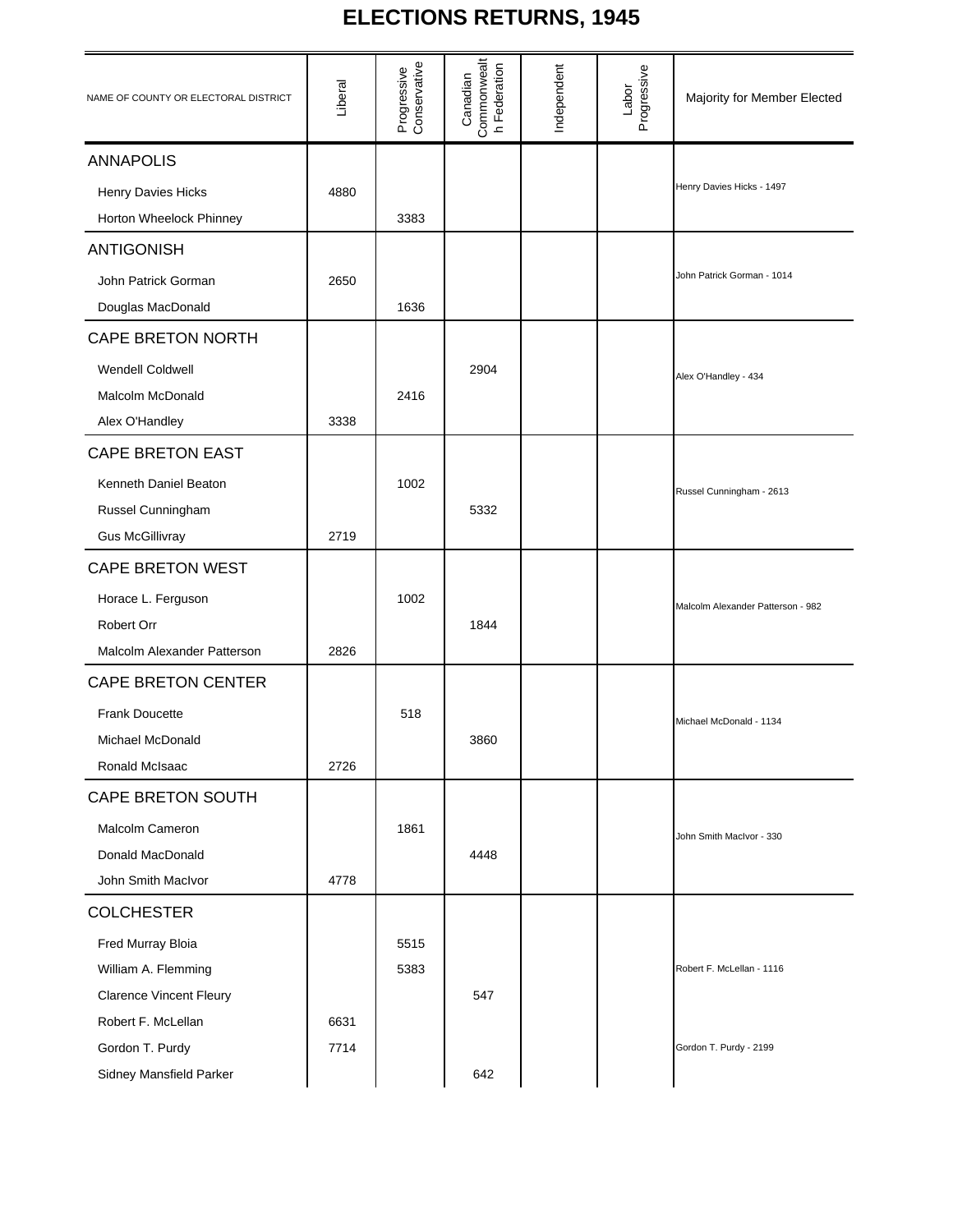| NAME OF COUNTY OR ELECTORAL DISTRICT | Liberal | Progressive<br>Conservative | Commonwealt<br>h Federation<br>Canadian | Independent | Progressive<br>Labor | Majority for Member Elected       |
|--------------------------------------|---------|-----------------------------|-----------------------------------------|-------------|----------------------|-----------------------------------|
| <b>ANNAPOLIS</b>                     |         |                             |                                         |             |                      |                                   |
| Henry Davies Hicks                   | 4880    |                             |                                         |             |                      | Henry Davies Hicks - 1497         |
| Horton Wheelock Phinney              |         | 3383                        |                                         |             |                      |                                   |
| <b>ANTIGONISH</b>                    |         |                             |                                         |             |                      |                                   |
| John Patrick Gorman                  | 2650    |                             |                                         |             |                      | John Patrick Gorman - 1014        |
| Douglas MacDonald                    |         | 1636                        |                                         |             |                      |                                   |
| <b>CAPE BRETON NORTH</b>             |         |                             |                                         |             |                      |                                   |
| <b>Wendell Coldwell</b>              |         |                             | 2904                                    |             |                      | Alex O'Handley - 434              |
| Malcolm McDonald                     |         | 2416                        |                                         |             |                      |                                   |
| Alex O'Handley                       | 3338    |                             |                                         |             |                      |                                   |
| <b>CAPE BRETON EAST</b>              |         |                             |                                         |             |                      |                                   |
| Kenneth Daniel Beaton                |         | 1002                        |                                         |             |                      | Russel Cunningham - 2613          |
| Russel Cunningham                    |         |                             | 5332                                    |             |                      |                                   |
| <b>Gus McGillivray</b>               | 2719    |                             |                                         |             |                      |                                   |
| <b>CAPE BRETON WEST</b>              |         |                             |                                         |             |                      |                                   |
| Horace L. Ferguson                   |         | 1002                        |                                         |             |                      | Malcolm Alexander Patterson - 982 |
| Robert Orr                           |         |                             | 1844                                    |             |                      |                                   |
| Malcolm Alexander Patterson          | 2826    |                             |                                         |             |                      |                                   |
| <b>CAPE BRETON CENTER</b>            |         |                             |                                         |             |                      |                                   |
| <b>Frank Doucette</b>                |         | 518                         |                                         |             |                      | Michael McDonald - 1134           |
| Michael McDonald                     |         |                             | 3860                                    |             |                      |                                   |
| Ronald McIsaac                       | 2726    |                             |                                         |             |                      |                                   |
| <b>CAPE BRETON SOUTH</b>             |         |                             |                                         |             |                      |                                   |
| Malcolm Cameron                      |         | 1861                        |                                         |             |                      | John Smith MacIvor - 330          |
| Donald MacDonald                     |         |                             | 4448                                    |             |                      |                                   |
| John Smith MacIvor                   | 4778    |                             |                                         |             |                      |                                   |
| <b>COLCHESTER</b>                    |         |                             |                                         |             |                      |                                   |
| Fred Murray Bloia                    |         | 5515                        |                                         |             |                      |                                   |
| William A. Flemming                  |         | 5383                        |                                         |             |                      | Robert F. McLellan - 1116         |
| <b>Clarence Vincent Fleury</b>       |         |                             | 547                                     |             |                      |                                   |
| Robert F. McLellan                   | 6631    |                             |                                         |             |                      |                                   |
| Gordon T. Purdy                      | 7714    |                             |                                         |             |                      | Gordon T. Purdy - 2199            |
| Sidney Mansfield Parker              |         |                             | 642                                     |             |                      |                                   |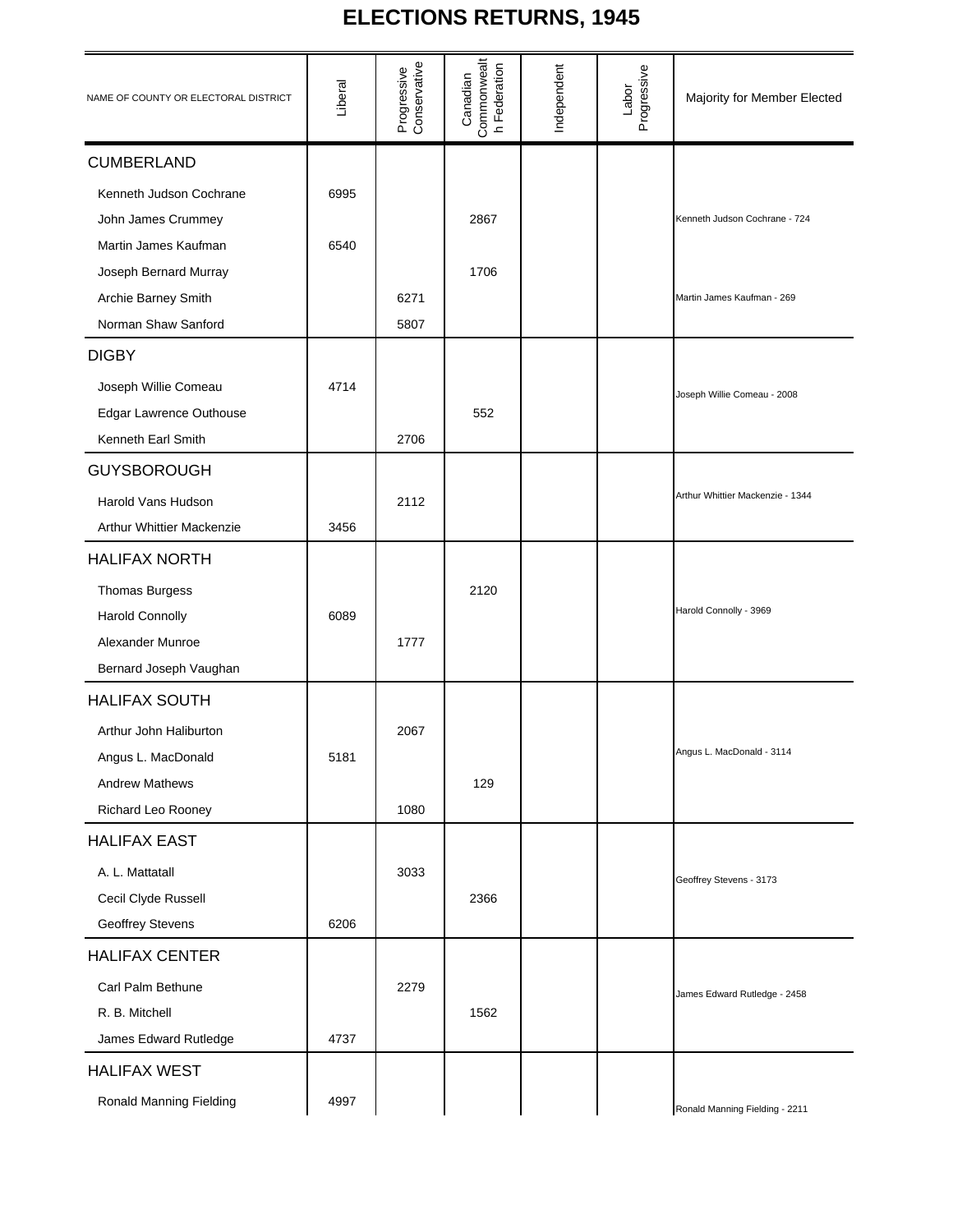| NAME OF COUNTY OR ELECTORAL DISTRICT | Liberal | Progressive<br>Conservative | Commonwealt<br>h Federation<br>Canadian | Independent | Progressive<br>Labor | Majority for Member Elected      |
|--------------------------------------|---------|-----------------------------|-----------------------------------------|-------------|----------------------|----------------------------------|
| <b>CUMBERLAND</b>                    |         |                             |                                         |             |                      |                                  |
| Kenneth Judson Cochrane              | 6995    |                             |                                         |             |                      |                                  |
| John James Crummey                   |         |                             | 2867                                    |             |                      | Kenneth Judson Cochrane - 724    |
| Martin James Kaufman                 | 6540    |                             |                                         |             |                      |                                  |
| Joseph Bernard Murray                |         |                             | 1706                                    |             |                      |                                  |
| Archie Barney Smith                  |         | 6271                        |                                         |             |                      | Martin James Kaufman - 269       |
| Norman Shaw Sanford                  |         | 5807                        |                                         |             |                      |                                  |
| <b>DIGBY</b>                         |         |                             |                                         |             |                      |                                  |
| Joseph Willie Comeau                 | 4714    |                             |                                         |             |                      | Joseph Willie Comeau - 2008      |
| Edgar Lawrence Outhouse              |         |                             | 552                                     |             |                      |                                  |
| Kenneth Earl Smith                   |         | 2706                        |                                         |             |                      |                                  |
| <b>GUYSBOROUGH</b>                   |         |                             |                                         |             |                      |                                  |
| <b>Harold Vans Hudson</b>            |         | 2112                        |                                         |             |                      | Arthur Whittier Mackenzie - 1344 |
| <b>Arthur Whittier Mackenzie</b>     | 3456    |                             |                                         |             |                      |                                  |
| <b>HALIFAX NORTH</b>                 |         |                             |                                         |             |                      |                                  |
| Thomas Burgess                       |         |                             | 2120                                    |             |                      |                                  |
| <b>Harold Connolly</b>               | 6089    |                             |                                         |             |                      | Harold Connolly - 3969           |
| Alexander Munroe                     |         | 1777                        |                                         |             |                      |                                  |
| Bernard Joseph Vaughan               |         |                             |                                         |             |                      |                                  |
| <b>HALIFAX SOUTH</b>                 |         |                             |                                         |             |                      |                                  |
| Arthur John Haliburton               |         | 2067                        |                                         |             |                      |                                  |
| Angus L. MacDonald                   | 5181    |                             |                                         |             |                      | Angus L. MacDonald - 3114        |
| <b>Andrew Mathews</b>                |         |                             | 129                                     |             |                      |                                  |
| Richard Leo Rooney                   |         | 1080                        |                                         |             |                      |                                  |
| <b>HALIFAX EAST</b>                  |         |                             |                                         |             |                      |                                  |
| A. L. Mattatall                      |         | 3033                        |                                         |             |                      | Geoffrey Stevens - 3173          |
| Cecil Clyde Russell                  |         |                             | 2366                                    |             |                      |                                  |
| <b>Geoffrey Stevens</b>              | 6206    |                             |                                         |             |                      |                                  |
| <b>HALIFAX CENTER</b>                |         |                             |                                         |             |                      |                                  |
| Carl Palm Bethune                    |         | 2279                        |                                         |             |                      | James Edward Rutledge - 2458     |
| R. B. Mitchell                       |         |                             | 1562                                    |             |                      |                                  |
| James Edward Rutledge                | 4737    |                             |                                         |             |                      |                                  |
| <b>HALIFAX WEST</b>                  |         |                             |                                         |             |                      |                                  |
| Ronald Manning Fielding              | 4997    |                             |                                         |             |                      | Ronald Manning Fielding - 2211   |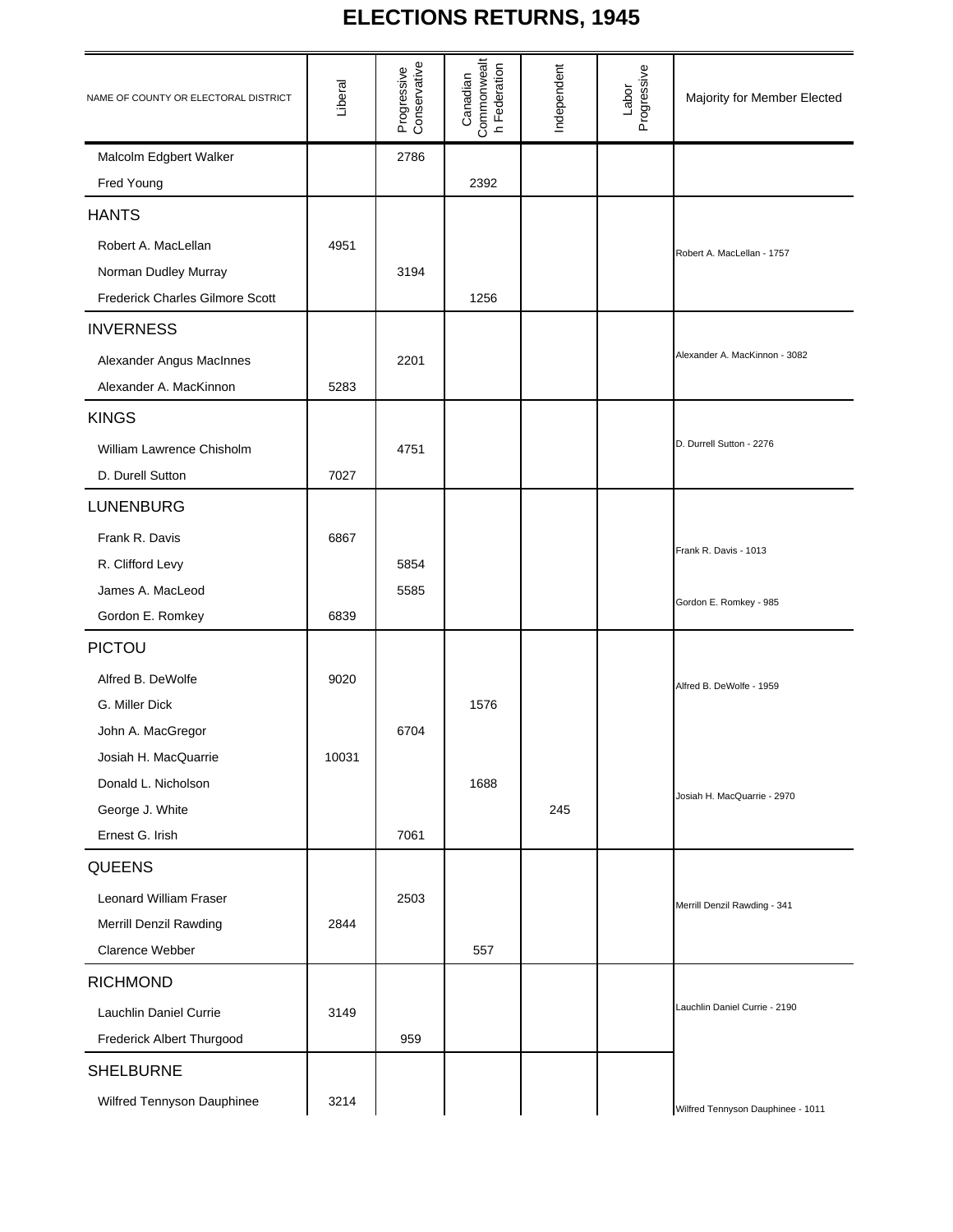| NAME OF COUNTY OR ELECTORAL DISTRICT   | Liberal | Progressive<br>Conservative | Commonwealt<br>h Federation<br>Canadian | Independent | Progressive<br>Labor | Majority for Member Elected       |
|----------------------------------------|---------|-----------------------------|-----------------------------------------|-------------|----------------------|-----------------------------------|
| Malcolm Edgbert Walker                 |         | 2786                        |                                         |             |                      |                                   |
| Fred Young                             |         |                             | 2392                                    |             |                      |                                   |
| <b>HANTS</b>                           |         |                             |                                         |             |                      |                                   |
| Robert A. MacLellan                    | 4951    |                             |                                         |             |                      | Robert A. MacLellan - 1757        |
| Norman Dudley Murray                   |         | 3194                        |                                         |             |                      |                                   |
| <b>Frederick Charles Gilmore Scott</b> |         |                             | 1256                                    |             |                      |                                   |
| <b>INVERNESS</b>                       |         |                             |                                         |             |                      |                                   |
| Alexander Angus MacInnes               |         | 2201                        |                                         |             |                      | Alexander A. MacKinnon - 3082     |
| Alexander A. MacKinnon                 | 5283    |                             |                                         |             |                      |                                   |
| <b>KINGS</b>                           |         |                             |                                         |             |                      |                                   |
| William Lawrence Chisholm              |         | 4751                        |                                         |             |                      | D. Durrell Sutton - 2276          |
| D. Durell Sutton                       | 7027    |                             |                                         |             |                      |                                   |
| <b>LUNENBURG</b>                       |         |                             |                                         |             |                      |                                   |
| Frank R. Davis                         | 6867    |                             |                                         |             |                      |                                   |
| R. Clifford Levy                       |         | 5854                        |                                         |             |                      | Frank R. Davis - 1013             |
| James A. MacLeod                       |         | 5585                        |                                         |             |                      |                                   |
| Gordon E. Romkey                       | 6839    |                             |                                         |             |                      | Gordon E. Romkey - 985            |
| <b>PICTOU</b>                          |         |                             |                                         |             |                      |                                   |
| Alfred B. DeWolfe                      | 9020    |                             |                                         |             |                      | Alfred B. DeWolfe - 1959          |
| G. Miller Dick                         |         |                             | 1576                                    |             |                      |                                   |
| John A. MacGregor                      |         | 6704                        |                                         |             |                      |                                   |
| Josiah H. MacQuarrie                   | 10031   |                             |                                         |             |                      |                                   |
| Donald L. Nicholson                    |         |                             | 1688                                    |             |                      | Josiah H. MacQuarrie - 2970       |
| George J. White                        |         |                             |                                         | 245         |                      |                                   |
| Ernest G. Irish                        |         | 7061                        |                                         |             |                      |                                   |
| <b>QUEENS</b>                          |         |                             |                                         |             |                      |                                   |
| Leonard William Fraser                 |         | 2503                        |                                         |             |                      | Merrill Denzil Rawding - 341      |
| Merrill Denzil Rawding                 | 2844    |                             |                                         |             |                      |                                   |
| Clarence Webber                        |         |                             | 557                                     |             |                      |                                   |
| <b>RICHMOND</b>                        |         |                             |                                         |             |                      |                                   |
| Lauchlin Daniel Currie                 | 3149    |                             |                                         |             |                      | Lauchlin Daniel Currie - 2190     |
| Frederick Albert Thurgood              |         | 959                         |                                         |             |                      |                                   |
| <b>SHELBURNE</b>                       |         |                             |                                         |             |                      |                                   |
| Wilfred Tennyson Dauphinee             | 3214    |                             |                                         |             |                      | Wilfred Tennyson Dauphinee - 1011 |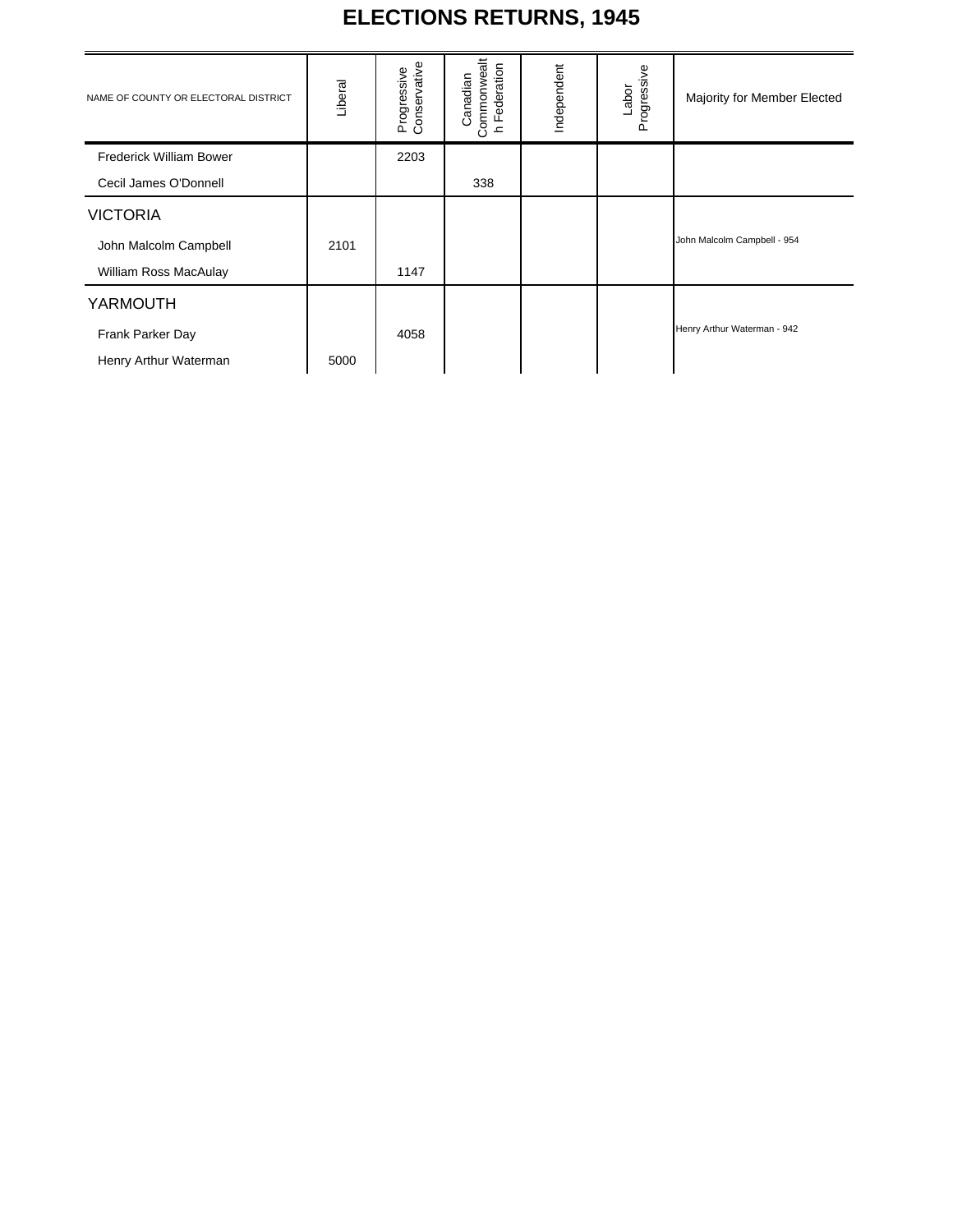| NAME OF COUNTY OR ELECTORAL DISTRICT | Liberal | Conservative<br>Progressive | Commonwealt<br>h Federation<br>Canadian | Independent | Progressive<br>Labor | Majority for Member Elected |
|--------------------------------------|---------|-----------------------------|-----------------------------------------|-------------|----------------------|-----------------------------|
| <b>Frederick William Bower</b>       |         | 2203                        |                                         |             |                      |                             |
| Cecil James O'Donnell                |         |                             | 338                                     |             |                      |                             |
| <b>VICTORIA</b>                      |         |                             |                                         |             |                      |                             |
| John Malcolm Campbell                | 2101    |                             |                                         |             |                      | John Malcolm Campbell - 954 |
| William Ross MacAulay                |         | 1147                        |                                         |             |                      |                             |
| YARMOUTH                             |         |                             |                                         |             |                      |                             |
| Frank Parker Day                     |         | 4058                        |                                         |             |                      | Henry Arthur Waterman - 942 |
| Henry Arthur Waterman                | 5000    |                             |                                         |             |                      |                             |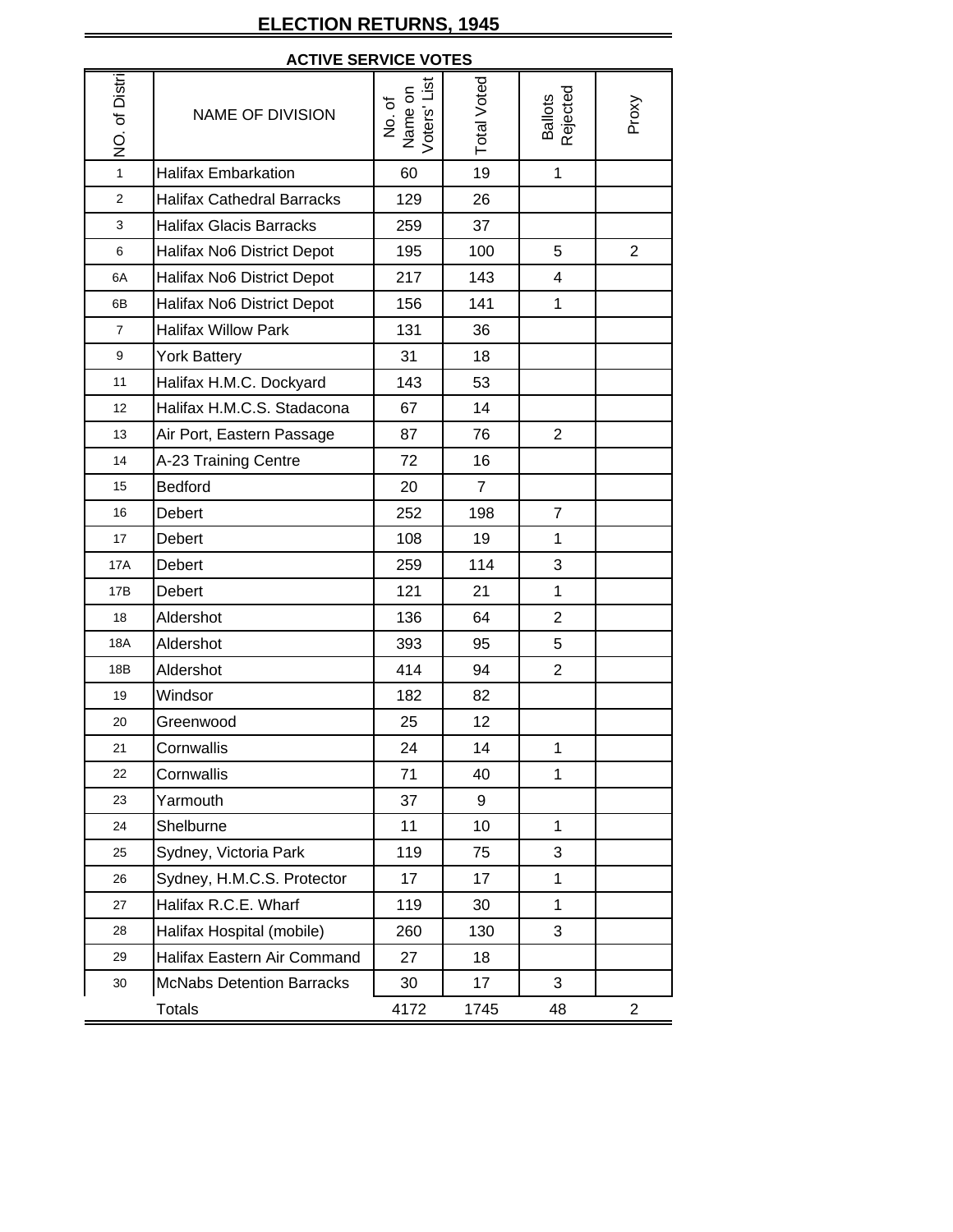#### **ACTIVE SERVICE VOTES**

| $-$ NO. of Distri- | <b>NAME OF DIVISION</b>           | No. of<br>Name on<br>Voters' List | <b>Total Voted</b> | Ballots<br>Rejected | Proxy          |
|--------------------|-----------------------------------|-----------------------------------|--------------------|---------------------|----------------|
|                    | <b>Halifax Embarkation</b>        | 60                                | 19                 | 1                   |                |
| $\overline{2}$     | <b>Halifax Cathedral Barracks</b> | 129                               | 26                 |                     |                |
| 3                  | <b>Halifax Glacis Barracks</b>    | 259                               | 37                 |                     |                |
| 6                  | Halifax No6 District Depot        | 195                               | 100                | 5                   | $\overline{2}$ |
| 6A                 | Halifax No6 District Depot        | 217                               | 143                | 4                   |                |
| 6B                 | Halifax No6 District Depot        | 156                               | 141                | 1                   |                |
| $\overline{7}$     | <b>Halifax Willow Park</b>        | 131                               | 36                 |                     |                |
| 9                  | <b>York Battery</b>               | 31                                | 18                 |                     |                |
| 11                 | Halifax H.M.C. Dockyard           | 143                               | 53                 |                     |                |
| 12                 | Halifax H.M.C.S. Stadacona        | 67                                | 14                 |                     |                |
| 13                 | Air Port, Eastern Passage         | 87                                | 76                 | $\overline{2}$      |                |
| 14                 | A-23 Training Centre              | 72                                | 16                 |                     |                |
| 15                 | <b>Bedford</b>                    | 20                                | $\overline{7}$     |                     |                |
| 16                 | Debert                            | 252                               | 198                | $\overline{7}$      |                |
| 17                 | Debert                            | 108                               | 19                 | $\mathbf 1$         |                |
| <b>17A</b>         | Debert                            | 259                               | 114                | 3                   |                |
| 17B                | <b>Debert</b>                     | 121                               | 21                 | 1                   |                |
| 18                 | Aldershot                         | 136                               | 64                 | $\overline{2}$      |                |
| <b>18A</b>         | Aldershot                         | 393                               | 95                 | 5                   |                |
| 18B                | Aldershot                         | 414                               | 94                 | $\overline{2}$      |                |
| 19                 | Windsor                           | 182                               | 82                 |                     |                |
| 20                 | Greenwood                         | 25                                | 12                 |                     |                |
| 21                 | Cornwallis                        | 24                                | 14                 | 1                   |                |
| 22                 | Cornwallis                        | 71                                | 40                 | 1                   |                |
| 23                 | Yarmouth                          | 37                                | 9                  |                     |                |
| 24                 | Shelburne                         | 11                                | 10                 | 1                   |                |
| 25                 | Sydney, Victoria Park             | 119                               | 75                 | 3                   |                |
| 26                 | Sydney, H.M.C.S. Protector        | 17                                | 17                 | 1                   |                |
| 27                 | Halifax R.C.E. Wharf              | 119                               | 30                 | 1                   |                |
| 28                 | Halifax Hospital (mobile)         | 260                               | 130                | 3                   |                |
| 29                 | Halifax Eastern Air Command       | 27                                | 18                 |                     |                |
| 30                 | <b>McNabs Detention Barracks</b>  | 30                                | 17                 | 3                   |                |
|                    | <b>Totals</b>                     | 4172                              | 1745               | 48                  | $\overline{c}$ |